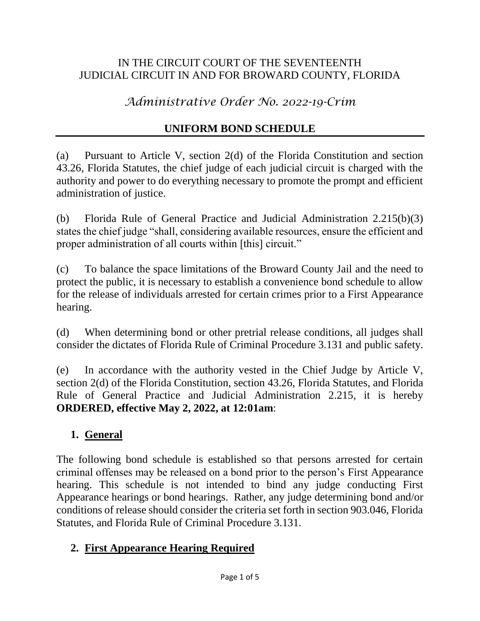### IN THE CIRCUIT COURT OF THE SEVENTEENTH JUDICIAL CIRCUIT IN AND FOR BROWARD COUNTY, FLORIDA

*Administrative Order No. 2022-19-Crim*

# **UNIFORM BOND SCHEDULE**

(a) Pursuant to Article V, section 2(d) of the Florida Constitution and section 43.26, Florida Statutes, the chief judge of each judicial circuit is charged with the authority and power to do everything necessary to promote the prompt and efficient administration of justice.

(b) Florida Rule of General Practice and Judicial Administration 2.215(b)(3) states the chief judge "shall, considering available resources, ensure the efficient and proper administration of all courts within [this] circuit."

(c) To balance the space limitations of the Broward County Jail and the need to protect the public, it is necessary to establish a convenience bond schedule to allow for the release of individuals arrested for certain crimes prior to a First Appearance hearing.

(d) When determining bond or other pretrial release conditions, all judges shall consider the dictates of Florida Rule of Criminal Procedure 3.131 and public safety.

(e) In accordance with the authority vested in the Chief Judge by Article V, section 2(d) of the Florida Constitution, section 43.26, Florida Statutes, and Florida Rule of General Practice and Judicial Administration 2.215, it is hereby **ORDERED, effective May 2, 2022, at 12:01am**:

# **1. General**

The following bond schedule is established so that persons arrested for certain criminal offenses may be released on a bond prior to the person's First Appearance hearing. This schedule is not intended to bind any judge conducting First Appearance hearings or bond hearings. Rather, any judge determining bond and/or conditions of release should consider the criteria set forth in section 903.046, Florida Statutes, and Florida Rule of Criminal Procedure 3.131.

#### **2. First Appearance Hearing Required**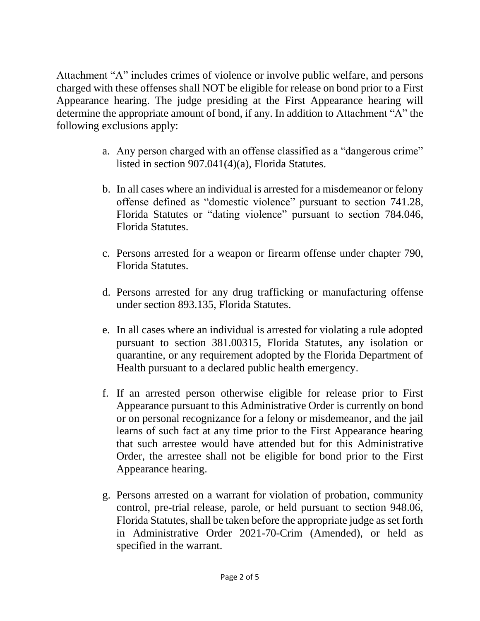Attachment "A" includes crimes of violence or involve public welfare, and persons charged with these offenses shall NOT be eligible for release on bond prior to a First Appearance hearing. The judge presiding at the First Appearance hearing will determine the appropriate amount of bond, if any. In addition to Attachment "A" the following exclusions apply:

- a. Any person charged with an offense classified as a "dangerous crime" listed in section 907.041(4)(a), Florida Statutes.
- b. In all cases where an individual is arrested for a misdemeanor or felony offense defined as "domestic violence" pursuant to section 741.28, Florida Statutes or "dating violence" pursuant to section 784.046, Florida Statutes.
- c. Persons arrested for a weapon or firearm offense under chapter 790, Florida Statutes.
- d. Persons arrested for any drug trafficking or manufacturing offense under section 893.135, Florida Statutes.
- e. In all cases where an individual is arrested for violating a rule adopted pursuant to section 381.00315, Florida Statutes, any isolation or quarantine, or any requirement adopted by the Florida Department of Health pursuant to a declared public health emergency.
- f. If an arrested person otherwise eligible for release prior to First Appearance pursuant to this Administrative Order is currently on bond or on personal recognizance for a felony or misdemeanor, and the jail learns of such fact at any time prior to the First Appearance hearing that such arrestee would have attended but for this Administrative Order, the arrestee shall not be eligible for bond prior to the First Appearance hearing.
- g. Persons arrested on a warrant for violation of probation, community control, pre-trial release, parole, or held pursuant to section 948.06, Florida Statutes, shall be taken before the appropriate judge as set forth in Administrative Order 2021-70-Crim (Amended), or held as specified in the warrant.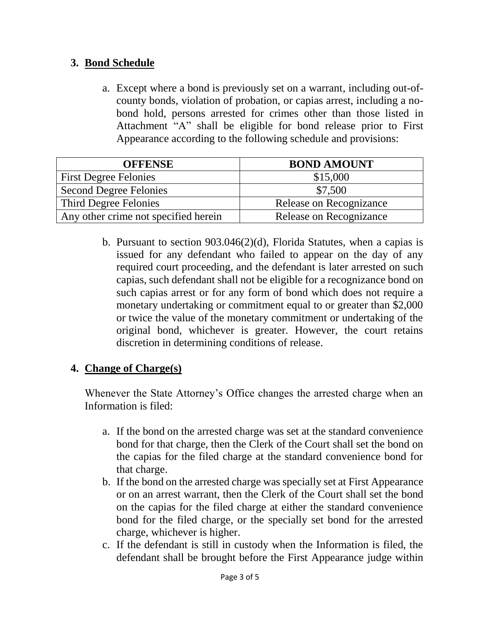# **3. Bond Schedule**

a. Except where a bond is previously set on a warrant, including out-ofcounty bonds, violation of probation, or capias arrest, including a nobond hold, persons arrested for crimes other than those listed in Attachment "A" shall be eligible for bond release prior to First Appearance according to the following schedule and provisions:

| <b>OFFENSE</b>                       | <b>BOND AMOUNT</b>      |
|--------------------------------------|-------------------------|
| <b>First Degree Felonies</b>         | \$15,000                |
| <b>Second Degree Felonies</b>        | \$7,500                 |
| Third Degree Felonies                | Release on Recognizance |
| Any other crime not specified herein | Release on Recognizance |

b. Pursuant to section 903.046(2)(d), Florida Statutes, when a capias is issued for any defendant who failed to appear on the day of any required court proceeding, and the defendant is later arrested on such capias, such defendant shall not be eligible for a recognizance bond on such capias arrest or for any form of bond which does not require a monetary undertaking or commitment equal to or greater than \$2,000 or twice the value of the monetary commitment or undertaking of the original bond, whichever is greater. However, the court retains discretion in determining conditions of release.

# **4. Change of Charge(s)**

Whenever the State Attorney's Office changes the arrested charge when an Information is filed:

- a. If the bond on the arrested charge was set at the standard convenience bond for that charge, then the Clerk of the Court shall set the bond on the capias for the filed charge at the standard convenience bond for that charge.
- b. If the bond on the arrested charge was specially set at First Appearance or on an arrest warrant, then the Clerk of the Court shall set the bond on the capias for the filed charge at either the standard convenience bond for the filed charge, or the specially set bond for the arrested charge, whichever is higher.
- c. If the defendant is still in custody when the Information is filed, the defendant shall be brought before the First Appearance judge within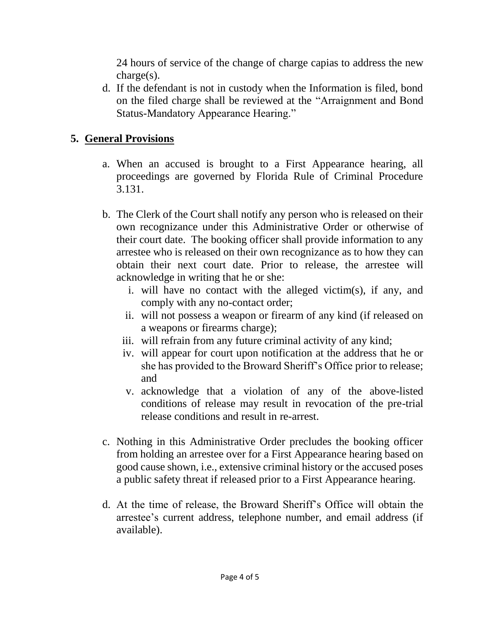24 hours of service of the change of charge capias to address the new charge(s).

d. If the defendant is not in custody when the Information is filed, bond on the filed charge shall be reviewed at the "Arraignment and Bond Status-Mandatory Appearance Hearing."

### **5. General Provisions**

- a. When an accused is brought to a First Appearance hearing, all proceedings are governed by Florida Rule of Criminal Procedure 3.131.
- b. The Clerk of the Court shall notify any person who is released on their own recognizance under this Administrative Order or otherwise of their court date. The booking officer shall provide information to any arrestee who is released on their own recognizance as to how they can obtain their next court date. Prior to release, the arrestee will acknowledge in writing that he or she:
	- i. will have no contact with the alleged victim(s), if any, and comply with any no-contact order;
	- ii. will not possess a weapon or firearm of any kind (if released on a weapons or firearms charge);
	- iii. will refrain from any future criminal activity of any kind;
	- iv. will appear for court upon notification at the address that he or she has provided to the Broward Sheriff's Office prior to release; and
	- v. acknowledge that a violation of any of the above-listed conditions of release may result in revocation of the pre-trial release conditions and result in re-arrest.
- c. Nothing in this Administrative Order precludes the booking officer from holding an arrestee over for a First Appearance hearing based on good cause shown, i.e., extensive criminal history or the accused poses a public safety threat if released prior to a First Appearance hearing.
- d. At the time of release, the Broward Sheriff's Office will obtain the arrestee's current address, telephone number, and email address (if available).